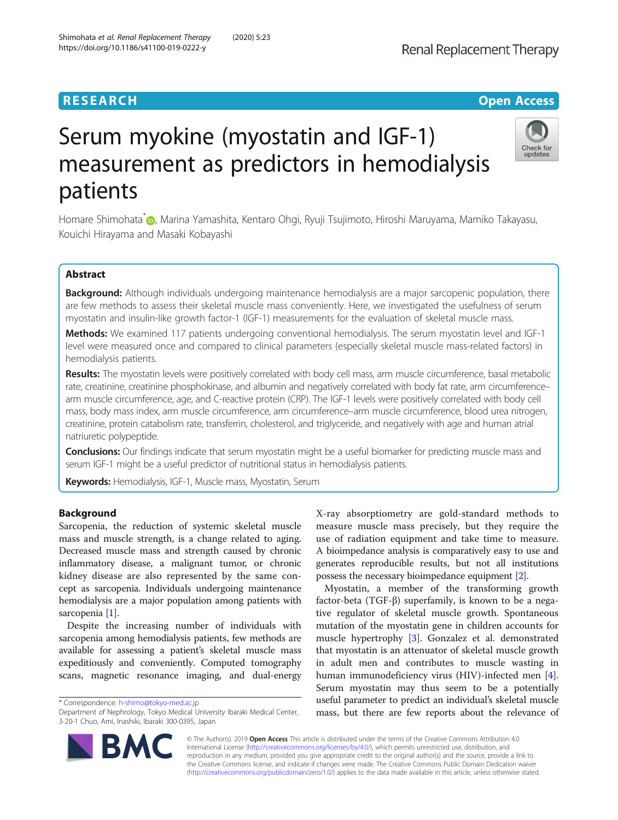# **RESEARCH CHINESE ARCH CHINESE ARCHITECT ARCHITECT ARCHITECT ARCHITECT ARCHITECT ARCHITECT ARCHITECT ARCHITECT ARCHITECT ARCHITECT ARCHITECT ARCHITECT ARCHITECT ARCHITECT ARCHITECT ARCHITECT ARCHITECT ARCHITECT ARCHITE**



# Serum myokine (myostatin and IGF-1) measurement as predictors in hemodialysis patients

Homare Shimohata<sup>\*</sup> [,](http://orcid.org/0000-0002-9648-5908) Marina Yamashita, Kentaro Ohgi, Ryuji Tsujimoto, Hiroshi Maruyama, Mamiko Takayasu, Kouichi Hirayama and Masaki Kobayashi

# Abstract

Background: Although individuals undergoing maintenance hemodialysis are a major sarcopenic population, there are few methods to assess their skeletal muscle mass conveniently. Here, we investigated the usefulness of serum myostatin and insulin-like growth factor-1 (IGF-1) measurements for the evaluation of skeletal muscle mass.

Methods: We examined 117 patients undergoing conventional hemodialysis. The serum myostatin level and IGF-1 level were measured once and compared to clinical parameters (especially skeletal muscle mass-related factors) in hemodialysis patients.

Results: The myostatin levels were positively correlated with body cell mass, arm muscle circumference, basal metabolic rate, creatinine, creatinine phosphokinase, and albumin and negatively correlated with body fat rate, arm circumference– arm muscle circumference, age, and C-reactive protein (CRP). The IGF-1 levels were positively correlated with body cell mass, body mass index, arm muscle circumference, arm circumference–arm muscle circumference, blood urea nitrogen, creatinine, protein catabolism rate, transferrin, cholesterol, and triglyceride, and negatively with age and human atrial natriuretic polypeptide.

Conclusions: Our findings indicate that serum myostatin might be a useful biomarker for predicting muscle mass and serum IGF-1 might be a useful predictor of nutritional status in hemodialysis patients.

Keywords: Hemodialysis, IGF-1, Muscle mass, Myostatin, Serum

# Background

Sarcopenia, the reduction of systemic skeletal muscle mass and muscle strength, is a change related to aging. Decreased muscle mass and strength caused by chronic inflammatory disease, a malignant tumor, or chronic kidney disease are also represented by the same concept as sarcopenia. Individuals undergoing maintenance hemodialysis are a major population among patients with sarcopenia [[1\]](#page-5-0).

Despite the increasing number of individuals with sarcopenia among hemodialysis patients, few methods are available for assessing a patient's skeletal muscle mass expeditiously and conveniently. Computed tomography scans, magnetic resonance imaging, and dual-energy

\* Correspondence: [h-shimo@tokyo-med.ac.jp](mailto:h-shimo@tokyo-med.ac.jp)

X-ray absorptiometry are gold-standard methods to measure muscle mass precisely, but they require the use of radiation equipment and take time to measure. A bioimpedance analysis is comparatively easy to use and generates reproducible results, but not all institutions possess the necessary bioimpedance equipment [[2\]](#page-5-0).

Myostatin, a member of the transforming growth factor-beta (TGF-β) superfamily, is known to be a negative regulator of skeletal muscle growth. Spontaneous mutation of the myostatin gene in children accounts for muscle hypertrophy [[3\]](#page-5-0). Gonzalez et al. demonstrated that myostatin is an attenuator of skeletal muscle growth in adult men and contributes to muscle wasting in human immunodeficiency virus (HIV)-infected men [\[4](#page-5-0)]. Serum myostatin may thus seem to be a potentially useful parameter to predict an individual's skeletal muscle mass, but there are few reports about the relevance of



© The Author(s). 2019 Open Access This article is distributed under the terms of the Creative Commons Attribution 4.0 International License [\(http://creativecommons.org/licenses/by/4.0/](http://creativecommons.org/licenses/by/4.0/)), which permits unrestricted use, distribution, and reproduction in any medium, provided you give appropriate credit to the original author(s) and the source, provide a link to the Creative Commons license, and indicate if changes were made. The Creative Commons Public Domain Dedication waiver [\(http://creativecommons.org/publicdomain/zero/1.0/](http://creativecommons.org/publicdomain/zero/1.0/)) applies to the data made available in this article, unless otherwise stated.

Department of Nephrology, Tokyo Medical University Ibaraki Medical Center, 3-20-1 Chuo, Ami, Inashiki, Ibaraki 300-0395, Japan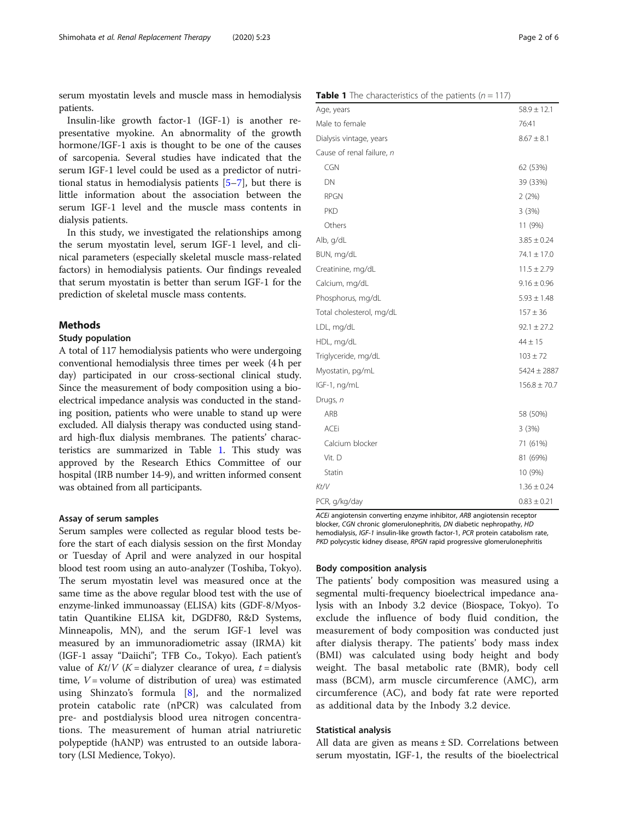<span id="page-1-0"></span>serum myostatin levels and muscle mass in hemodialysis patients.

Insulin-like growth factor-1 (IGF-1) is another representative myokine. An abnormality of the growth hormone/IGF-1 axis is thought to be one of the causes of sarcopenia. Several studies have indicated that the serum IGF-1 level could be used as a predictor of nutritional status in hemodialysis patients [[5](#page-5-0)–[7](#page-5-0)], but there is little information about the association between the serum IGF-1 level and the muscle mass contents in dialysis patients.

In this study, we investigated the relationships among the serum myostatin level, serum IGF-1 level, and clinical parameters (especially skeletal muscle mass-related factors) in hemodialysis patients. Our findings revealed that serum myostatin is better than serum IGF-1 for the prediction of skeletal muscle mass contents.

# Methods

#### Study population

A total of 117 hemodialysis patients who were undergoing conventional hemodialysis three times per week (4 h per day) participated in our cross-sectional clinical study. Since the measurement of body composition using a bioelectrical impedance analysis was conducted in the standing position, patients who were unable to stand up were excluded. All dialysis therapy was conducted using standard high-flux dialysis membranes. The patients' characteristics are summarized in Table 1. This study was approved by the Research Ethics Committee of our hospital (IRB number 14-9), and written informed consent was obtained from all participants.

#### Assay of serum samples

Serum samples were collected as regular blood tests before the start of each dialysis session on the first Monday or Tuesday of April and were analyzed in our hospital blood test room using an auto-analyzer (Toshiba, Tokyo). The serum myostatin level was measured once at the same time as the above regular blood test with the use of enzyme-linked immunoassay (ELISA) kits (GDF-8/Myostatin Quantikine ELISA kit, DGDF80, R&D Systems, Minneapolis, MN), and the serum IGF-1 level was measured by an immunoradiometric assay (IRMA) kit (IGF-1 assay "Daiichi"; TFB Co., Tokyo). Each patient's value of  $Kt/V$  (K = dialyzer clearance of urea, t = dialysis time,  $V =$  volume of distribution of urea) was estimated using Shinzato's formula [[8\]](#page-5-0), and the normalized protein catabolic rate (nPCR) was calculated from pre- and postdialysis blood urea nitrogen concentrations. The measurement of human atrial natriuretic polypeptide (hANP) was entrusted to an outside laboratory (LSI Medience, Tokyo).

| Age, years                | $58.9 \pm 12.1$  |
|---------------------------|------------------|
| Male to female            | 76:41            |
| Dialysis vintage, years   | $8.67 \pm 8.1$   |
| Cause of renal failure, n |                  |
| CGN                       | 62 (53%)         |
| DN                        | 39 (33%)         |
| <b>RPGN</b>               | 2(2%)            |
| <b>PKD</b>                | 3(3%)            |
| Others                    | 11 (9%)          |
| Alb, g/dL                 | $3.85 \pm 0.24$  |
| BUN, mg/dL                | $74.1 \pm 17.0$  |
| Creatinine, mg/dL         | $11.5 \pm 2.79$  |
| Calcium, mg/dL            | $9.16 \pm 0.96$  |
| Phosphorus, mg/dL         | $5.93 \pm 1.48$  |
| Total cholesterol, mg/dL  | $157 \pm 36$     |
| LDL, mg/dL                | $92.1 \pm 27.2$  |
| HDL, mg/dL                | $44 \pm 15$      |
| Triglyceride, mg/dL       | $103 \pm 72$     |
| Myostatin, pg/mL          | $5424 \pm 2887$  |
| IGF-1, ng/mL              | $156.8 \pm 70.7$ |
| Drugs, n                  |                  |
| ARB                       | 58 (50%)         |
| <b>ACEi</b>               | 3(3%)            |
| Calcium blocker           | 71 (61%)         |
| Vit. D                    | 81 (69%)         |
| Statin                    | 10 (9%)          |
| Kt/V                      | $1.36 \pm 0.24$  |
| PCR, g/kg/day             | $0.83 \pm 0.21$  |

ACEi angiotensin converting enzyme inhibitor, ARB angiotensin receptor blocker, CGN chronic glomerulonephritis, DN diabetic nephropathy, HD hemodialysis, IGF-1 insulin-like growth factor-1, PCR protein catabolism rate, PKD polycystic kidney disease, RPGN rapid progressive glomerulonephritis

# Body composition analysis

The patients' body composition was measured using a segmental multi-frequency bioelectrical impedance analysis with an Inbody 3.2 device (Biospace, Tokyo). To exclude the influence of body fluid condition, the measurement of body composition was conducted just after dialysis therapy. The patients' body mass index (BMI) was calculated using body height and body weight. The basal metabolic rate (BMR), body cell mass (BCM), arm muscle circumference (AMC), arm circumference (AC), and body fat rate were reported as additional data by the Inbody 3.2 device.

## Statistical analysis

All data are given as means  $\pm$  SD. Correlations between serum myostatin, IGF-1, the results of the bioelectrical

#### **Table 1** The characteristics of the patients ( $n = 117$ )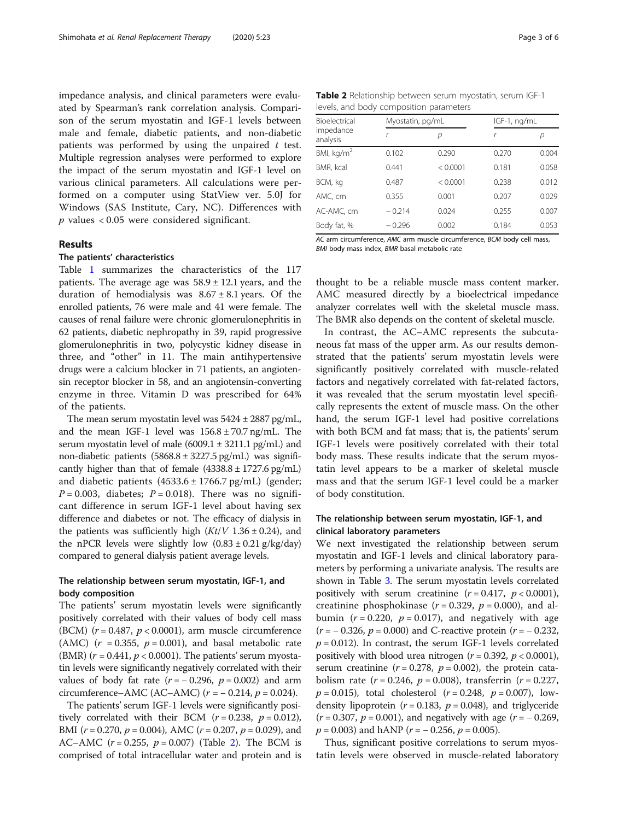impedance analysis, and clinical parameters were evaluated by Spearman's rank correlation analysis. Comparison of the serum myostatin and IGF-1 levels between male and female, diabetic patients, and non-diabetic patients was performed by using the unpaired  $t$  test. Multiple regression analyses were performed to explore the impact of the serum myostatin and IGF-1 level on various clinical parameters. All calculations were performed on a computer using StatView ver. 5.0J for Windows (SAS Institute, Cary, NC). Differences with  $p$  values < 0.05 were considered significant.

# Results

# The patients' characteristics

Table [1](#page-1-0) summarizes the characteristics of the 117 patients. The average age was  $58.9 \pm 12.1$  years, and the duration of hemodialysis was  $8.67 \pm 8.1$  years. Of the enrolled patients, 76 were male and 41 were female. The causes of renal failure were chronic glomerulonephritis in 62 patients, diabetic nephropathy in 39, rapid progressive glomerulonephritis in two, polycystic kidney disease in three, and "other" in 11. The main antihypertensive drugs were a calcium blocker in 71 patients, an angiotensin receptor blocker in 58, and an angiotensin-converting enzyme in three. Vitamin D was prescribed for 64% of the patients.

The mean serum myostatin level was  $5424 \pm 2887$  pg/mL, and the mean IGF-1 level was  $156.8 \pm 70.7$  ng/mL. The serum myostatin level of male  $(6009.1 \pm 3211.1 \text{ pg/mL})$  and non-diabetic patients  $(5868.8 \pm 3227.5 \text{ pg/mL})$  was significantly higher than that of female  $(4338.8 \pm 1727.6 \text{ pg/mL})$ and diabetic patients  $(4533.6 \pm 1766.7 \text{ pg/mL})$  (gender;  $P = 0.003$ , diabetes;  $P = 0.018$ ). There was no significant difference in serum IGF-1 level about having sex difference and diabetes or not. The efficacy of dialysis in the patients was sufficiently high  $(Kt/V 1.36 \pm 0.24)$ , and the nPCR levels were slightly low  $(0.83 \pm 0.21 \text{ g/kg/day})$ compared to general dialysis patient average levels.

# The relationship between serum myostatin, IGF-1, and body composition

The patients' serum myostatin levels were significantly positively correlated with their values of body cell mass (BCM)  $(r = 0.487, p < 0.0001)$ , arm muscle circumference (AMC) ( $r = 0.355$ ,  $p = 0.001$ ), and basal metabolic rate (BMR)  $(r = 0.441, p < 0.0001)$ . The patients' serum myostatin levels were significantly negatively correlated with their values of body fat rate  $(r = -0.296, p = 0.002)$  and arm circumference–AMC (AC–AMC) ( $r = -0.214$ ,  $p = 0.024$ ).

The patients' serum IGF-1 levels were significantly positively correlated with their BCM ( $r = 0.238$ ,  $p = 0.012$ ), BMI ( $r = 0.270$ ,  $p = 0.004$ ), AMC ( $r = 0.207$ ,  $p = 0.029$ ), and AC–AMC  $(r = 0.255, p = 0.007)$  (Table 2). The BCM is comprised of total intracellular water and protein and is

Table 2 Relationship between serum myostatin, serum IGF-1 levels, and body composition parameters

| Bioelectrical<br>impedance<br>analysis |          | Myostatin, pg/mL |       | IGF-1, ng/mL |  |
|----------------------------------------|----------|------------------|-------|--------------|--|
|                                        |          | р                |       | р            |  |
| BMI, kg/m <sup>2</sup>                 | 0.102    | 0.290            | 0.270 | 0.004        |  |
| BMR, kcal                              | 0.441    | < 0.0001         | 0.181 | 0.058        |  |
| BCM, kg                                | 0.487    | < 0.0001         | 0.238 | 0.012        |  |
| AMC, cm                                | 0.355    | 0.001            | 0.207 | 0.029        |  |
| AC-AMC, cm                             | $-0.214$ | 0.024            | 0.255 | 0.007        |  |
| Body fat, %                            | $-0.296$ | 0.002            | 0.184 | 0.053        |  |

AC arm circumference, AMC arm muscle circumference, BCM body cell mass, BMI body mass index, BMR basal metabolic rate

thought to be a reliable muscle mass content marker. AMC measured directly by a bioelectrical impedance analyzer correlates well with the skeletal muscle mass. The BMR also depends on the content of skeletal muscle.

In contrast, the AC–AMC represents the subcutaneous fat mass of the upper arm. As our results demonstrated that the patients' serum myostatin levels were significantly positively correlated with muscle-related factors and negatively correlated with fat-related factors, it was revealed that the serum myostatin level specifically represents the extent of muscle mass. On the other hand, the serum IGF-1 level had positive correlations with both BCM and fat mass; that is, the patients' serum IGF-1 levels were positively correlated with their total body mass. These results indicate that the serum myostatin level appears to be a marker of skeletal muscle mass and that the serum IGF-1 level could be a marker of body constitution.

# The relationship between serum myostatin, IGF-1, and clinical laboratory parameters

We next investigated the relationship between serum myostatin and IGF-1 levels and clinical laboratory parameters by performing a univariate analysis. The results are shown in Table [3](#page-3-0). The serum myostatin levels correlated positively with serum creatinine  $(r = 0.417, p < 0.0001)$ , creatinine phosphokinase ( $r = 0.329$ ,  $p = 0.000$ ), and albumin ( $r = 0.220$ ,  $p = 0.017$ ), and negatively with age  $(r = -0.326, p = 0.000)$  and C-reactive protein  $(r = -0.232, p = 0.000)$  $p = 0.012$ ). In contrast, the serum IGF-1 levels correlated positively with blood urea nitrogen ( $r = 0.392$ ,  $p < 0.0001$ ), serum creatinine ( $r = 0.278$ ,  $p = 0.002$ ), the protein catabolism rate ( $r = 0.246$ ,  $p = 0.008$ ), transferrin ( $r = 0.227$ ,  $p = 0.015$ ), total cholesterol ( $r = 0.248$ ,  $p = 0.007$ ), lowdensity lipoprotein ( $r = 0.183$ ,  $p = 0.048$ ), and triglyceride  $(r = 0.307, p = 0.001)$ , and negatively with age  $(r = -0.269,$  $p = 0.003$ ) and hANP ( $r = -0.256$ ,  $p = 0.005$ ).

Thus, significant positive correlations to serum myostatin levels were observed in muscle-related laboratory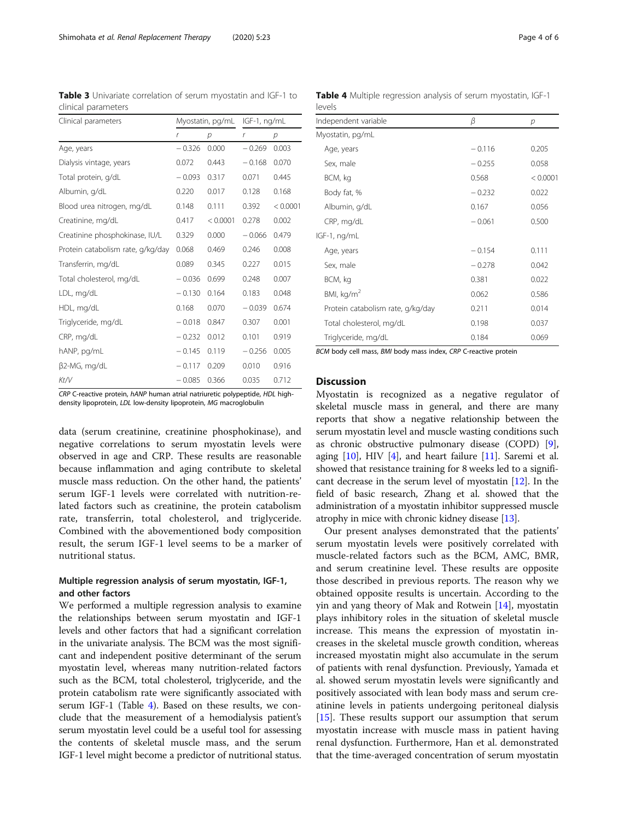CRP C-reactive protein, hANP human atrial natriuretic polypeptide, HDL highdensity lipoprotein, LDL low-density lipoprotein, MG macroglobulin

data (serum creatinine, creatinine phosphokinase), and negative correlations to serum myostatin levels were observed in age and CRP. These results are reasonable because inflammation and aging contribute to skeletal muscle mass reduction. On the other hand, the patients' serum IGF-1 levels were correlated with nutrition-related factors such as creatinine, the protein catabolism rate, transferrin, total cholesterol, and triglyceride. Combined with the abovementioned body composition result, the serum IGF-1 level seems to be a marker of nutritional status.

# Multiple regression analysis of serum myostatin, IGF-1, and other factors

We performed a multiple regression analysis to examine the relationships between serum myostatin and IGF-1 levels and other factors that had a significant correlation in the univariate analysis. The BCM was the most significant and independent positive determinant of the serum myostatin level, whereas many nutrition-related factors such as the BCM, total cholesterol, triglyceride, and the protein catabolism rate were significantly associated with serum IGF-1 (Table 4). Based on these results, we conclude that the measurement of a hemodialysis patient's serum myostatin level could be a useful tool for assessing the contents of skeletal muscle mass, and the serum IGF-1 level might become a predictor of nutritional status.

BCM body cell mass, BMI body mass index, CRP C-reactive protein

# **Discussion**

Myostatin is recognized as a negative regulator of skeletal muscle mass in general, and there are many reports that show a negative relationship between the serum myostatin level and muscle wasting conditions such as chronic obstructive pulmonary disease (COPD) [[9](#page-5-0)], aging  $[10]$ , HIV  $[4]$  $[4]$ , and heart failure  $[11]$ . Saremi et al. showed that resistance training for 8 weeks led to a significant decrease in the serum level of myostatin [\[12\]](#page-5-0). In the field of basic research, Zhang et al. showed that the administration of a myostatin inhibitor suppressed muscle atrophy in mice with chronic kidney disease [\[13\]](#page-5-0).

Our present analyses demonstrated that the patients' serum myostatin levels were positively correlated with muscle-related factors such as the BCM, AMC, BMR, and serum creatinine level. These results are opposite those described in previous reports. The reason why we obtained opposite results is uncertain. According to the yin and yang theory of Mak and Rotwein [\[14\]](#page-5-0), myostatin plays inhibitory roles in the situation of skeletal muscle increase. This means the expression of myostatin increases in the skeletal muscle growth condition, whereas increased myostatin might also accumulate in the serum of patients with renal dysfunction. Previously, Yamada et al. showed serum myostatin levels were significantly and positively associated with lean body mass and serum creatinine levels in patients undergoing peritoneal dialysis [[15\]](#page-5-0). These results support our assumption that serum myostatin increase with muscle mass in patient having renal dysfunction. Furthermore, Han et al. demonstrated that the time-averaged concentration of serum myostatin

<span id="page-3-0"></span>Table 3 Univariate correlation of serum myostatin and IGF-1 to clinical parameters

| Clinical parameters               | Myostatin, pg/mL |          | IGF-1, ng/mL |          |
|-----------------------------------|------------------|----------|--------------|----------|
|                                   | r                | р        | r            | р        |
| Age, years                        | $-0.326$         | 0.000    | $-0.269$     | 0.003    |
| Dialysis vintage, years           | 0.072            | 0.443    | $-0.168$     | 0.070    |
| Total protein, g/dL               | $-0.093$         | 0.317    | 0.071        | 0.445    |
| Albumin, g/dL                     | 0.220            | 0.017    | 0.128        | 0.168    |
| Blood urea nitrogen, mg/dL        | 0.148            | 0.111    | 0.392        | < 0.0001 |
| Creatinine, mg/dL                 | 0.417            | < 0.0001 | 0.278        | 0.002    |
| Creatinine phosphokinase, IU/L    | 0.329            | 0.000    | $-0.066$     | 0.479    |
| Protein catabolism rate, g/kg/day | 0.068            | 0.469    | 0.246        | 0.008    |
| Transferrin, mg/dL                | 0.089            | 0.345    | 0.227        | 0.015    |
| Total cholesterol, mg/dL          | $-0.036$         | 0.699    | 0.248        | 0.007    |
| LDL, mg/dL                        | $-0.130$         | 0.164    | 0.183        | 0.048    |
| HDL, mg/dL                        | 0.168            | 0.070    | $-0.039$     | 0.674    |
| Triglyceride, mg/dL               | $-0.018$         | 0.847    | 0.307        | 0.001    |
| CRP, mg/dL                        | $-0.232$         | 0.012    | 0.101        | 0.919    |
| hANP, pg/mL                       | $-0.145$         | 0.119    | $-0.256$     | 0.005    |
| $\beta$ 2-MG, mg/dL               | $-0.117$         | 0.209    | 0.010        | 0.916    |
| Kt/V                              | $-0.085$         | 0.366    | 0.035        | 0.712    |

| Independent variable              | β        | р        |  |
|-----------------------------------|----------|----------|--|
| Myostatin, pg/mL                  |          |          |  |
| Age, years                        | $-0.116$ | 0.205    |  |
| Sex, male                         | $-0.255$ | 0.058    |  |
| BCM, kg                           | 0.568    | < 0.0001 |  |
| Body fat, %                       | $-0.232$ | 0.022    |  |
| Albumin, g/dL                     | 0.167    | 0.056    |  |
| CRP, mg/dL                        | $-0.061$ | 0.500    |  |
| IGF-1, ng/mL                      |          |          |  |
| Age, years                        | $-0.154$ | 0.111    |  |
| Sex, male                         | $-0.278$ | 0.042    |  |
| BCM, kg                           | 0.381    | 0.022    |  |
| BMI, $kg/m2$                      | 0.062    | 0.586    |  |
| Protein catabolism rate, g/kg/day | 0.211    | 0.014    |  |
| Total cholesterol, mg/dL          | 0.198    | 0.037    |  |
| Triglyceride, mg/dL               | 0.184    | 0.069    |  |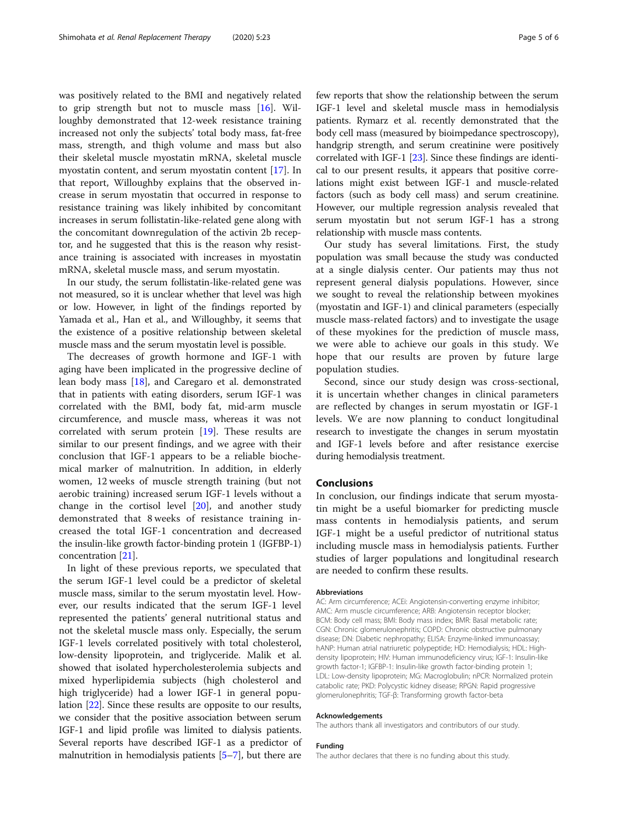was positively related to the BMI and negatively related to grip strength but not to muscle mass [[16\]](#page-5-0). Willoughby demonstrated that 12-week resistance training increased not only the subjects' total body mass, fat-free mass, strength, and thigh volume and mass but also their skeletal muscle myostatin mRNA, skeletal muscle myostatin content, and serum myostatin content [[17](#page-5-0)]. In that report, Willoughby explains that the observed increase in serum myostatin that occurred in response to resistance training was likely inhibited by concomitant increases in serum follistatin-like-related gene along with the concomitant downregulation of the activin 2b receptor, and he suggested that this is the reason why resistance training is associated with increases in myostatin mRNA, skeletal muscle mass, and serum myostatin.

In our study, the serum follistatin-like-related gene was not measured, so it is unclear whether that level was high or low. However, in light of the findings reported by Yamada et al., Han et al., and Willoughby, it seems that the existence of a positive relationship between skeletal muscle mass and the serum myostatin level is possible.

The decreases of growth hormone and IGF-1 with aging have been implicated in the progressive decline of lean body mass [\[18](#page-5-0)], and Caregaro et al. demonstrated that in patients with eating disorders, serum IGF-1 was correlated with the BMI, body fat, mid-arm muscle circumference, and muscle mass, whereas it was not correlated with serum protein [\[19](#page-5-0)]. These results are similar to our present findings, and we agree with their conclusion that IGF-1 appears to be a reliable biochemical marker of malnutrition. In addition, in elderly women, 12 weeks of muscle strength training (but not aerobic training) increased serum IGF-1 levels without a change in the cortisol level [[20\]](#page-5-0), and another study demonstrated that 8 weeks of resistance training increased the total IGF-1 concentration and decreased the insulin-like growth factor-binding protein 1 (IGFBP-1) concentration [[21\]](#page-5-0).

In light of these previous reports, we speculated that the serum IGF-1 level could be a predictor of skeletal muscle mass, similar to the serum myostatin level. However, our results indicated that the serum IGF-1 level represented the patients' general nutritional status and not the skeletal muscle mass only. Especially, the serum IGF-1 levels correlated positively with total cholesterol, low-density lipoprotein, and triglyceride. Malik et al. showed that isolated hypercholesterolemia subjects and mixed hyperlipidemia subjects (high cholesterol and high triglyceride) had a lower IGF-1 in general population [[22](#page-5-0)]. Since these results are opposite to our results, we consider that the positive association between serum IGF-1 and lipid profile was limited to dialysis patients. Several reports have described IGF-1 as a predictor of malnutrition in hemodialysis patients [[5](#page-5-0)–[7](#page-5-0)], but there are few reports that show the relationship between the serum IGF-1 level and skeletal muscle mass in hemodialysis patients. Rymarz et al. recently demonstrated that the body cell mass (measured by bioimpedance spectroscopy), handgrip strength, and serum creatinine were positively correlated with IGF-1 [[23](#page-5-0)]. Since these findings are identical to our present results, it appears that positive correlations might exist between IGF-1 and muscle-related factors (such as body cell mass) and serum creatinine. However, our multiple regression analysis revealed that serum myostatin but not serum IGF-1 has a strong relationship with muscle mass contents.

Our study has several limitations. First, the study population was small because the study was conducted at a single dialysis center. Our patients may thus not represent general dialysis populations. However, since we sought to reveal the relationship between myokines (myostatin and IGF-1) and clinical parameters (especially muscle mass-related factors) and to investigate the usage of these myokines for the prediction of muscle mass, we were able to achieve our goals in this study. We hope that our results are proven by future large population studies.

Second, since our study design was cross-sectional, it is uncertain whether changes in clinical parameters are reflected by changes in serum myostatin or IGF-1 levels. We are now planning to conduct longitudinal research to investigate the changes in serum myostatin and IGF-1 levels before and after resistance exercise during hemodialysis treatment.

#### Conclusions

In conclusion, our findings indicate that serum myostatin might be a useful biomarker for predicting muscle mass contents in hemodialysis patients, and serum IGF-1 might be a useful predictor of nutritional status including muscle mass in hemodialysis patients. Further studies of larger populations and longitudinal research are needed to confirm these results.

#### Abbreviations

AC: Arm circumference; ACEi: Angiotensin-converting enzyme inhibitor; AMC: Arm muscle circumference; ARB: Angiotensin receptor blocker; BCM: Body cell mass; BMI: Body mass index; BMR: Basal metabolic rate; CGN: Chronic glomerulonephritis; COPD: Chronic obstructive pulmonary disease; DN: Diabetic nephropathy; ELISA: Enzyme-linked immunoassay; hANP: Human atrial natriuretic polypeptide; HD: Hemodialysis; HDL: Highdensity lipoprotein; HIV: Human immunodeficiency virus; IGF-1: Insulin-like growth factor-1; IGFBP-1: Insulin-like growth factor-binding protein 1; LDL: Low-density lipoprotein; MG: Macroglobulin; nPCR: Normalized protein catabolic rate; PKD: Polycystic kidney disease; RPGN: Rapid progressive glomerulonephritis; TGF-β: Transforming growth factor-beta

#### Acknowledgements

The authors thank all investigators and contributors of our study.

#### Funding

The author declares that there is no funding about this study.